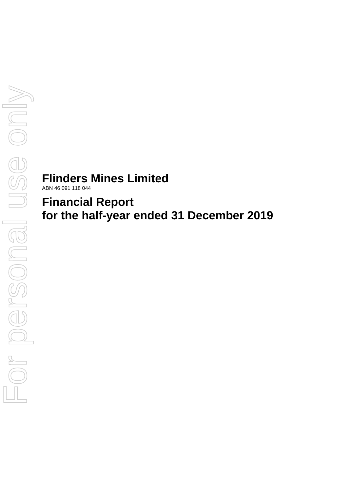# **Flinders Mines Limited**

ABN 46 091 118 044

# **Financial Report for the half-year ended 31 December 2019**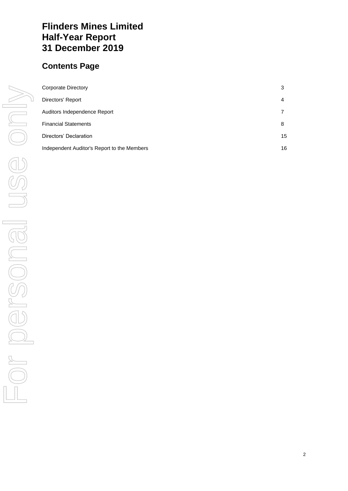# **Flinders Mines Limited Half-Year Report 31 December 2019**

# **Contents Page**

| Corporate Directory                         | 3  |
|---------------------------------------------|----|
| Directors' Report                           | 4  |
| Auditors Independence Report                |    |
| <b>Financial Statements</b>                 | 8  |
| Directors' Declaration                      | 15 |
| Independent Auditor's Report to the Members | 16 |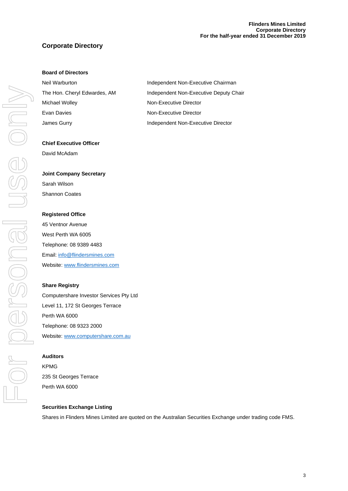# **Corporate Directory**

## **Board of Directors**

| Neil Warburton               | Independent Non-Executive Chairman     |
|------------------------------|----------------------------------------|
| The Hon. Cheryl Edwardes, AM | Independent Non-Executive Deputy Chair |
| Michael Wolley               | Non-Executive Director                 |
| Evan Davies                  | Non-Executive Director                 |
| James Gurry                  | Independent Non-Executive Director     |

#### **Chief Executive Officer**

David McAdam

#### **Joint Company Secretary**

Sarah Wilson Shannon Coates

#### **Registered Office**

45 Ventnor Avenue West Perth WA 6005 Telephone: 08 9389 4483 Email[: info@flindersmines.com](mailto:info@flindersmines.com) Website[: www.flindersmines.com](http://www.flindersmines.com/)

# **Share Registry**

Computershare Investor Services Pty Ltd Level 11, 172 St Georges Terrace Perth WA 6000 Telephone: 08 9323 2000 Website[: www.computershare.com.au](http://www.computershare.com.au/)

#### **Auditors**

KPMG 235 St Georges Terrace Perth WA 6000

# **Securities Exchange Listing**

Shares in Flinders Mines Limited are quoted on the Australian Securities Exchange under trading code FMS.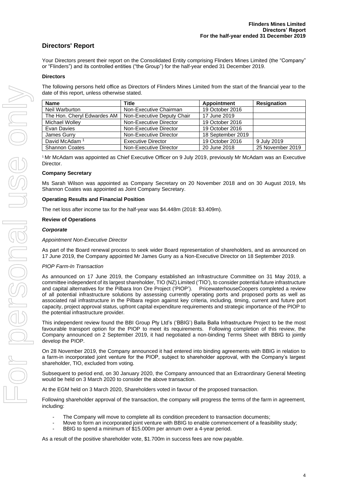# **Directors' Report**

Your Directors present their report on the Consolidated Entity comprising Flinders Mines Limited (the "Company" or "Flinders") and its controlled entities ("the Group") for the half-year ended 31 December 2019.

#### **Directors**

The following persons held office as Directors of Flinders Mines Limited from the start of the financial year to the date of this report, unless otherwise stated.

| <b>Name</b>                 | <b>Title</b>               | Appointment       | <b>Resignation</b> |
|-----------------------------|----------------------------|-------------------|--------------------|
| Neil Warburton              | Non-Executive Chairman     | 19 October 2016   |                    |
| The Hon. Cheryl Edwardes AM | Non-Executive Deputy Chair | 17 June 2019      |                    |
| Michael Wolley              | Non-Executive Director     | 19 October 2016   |                    |
| Evan Davies                 | Non-Executive Director     | 19 October 2016   |                    |
| James Gurry                 | Non-Executive Director     | 18 September 2019 |                    |
| David McAdam <sup>1</sup>   | <b>Executive Director</b>  | 19 October 2016   | 9 July 2019        |
| <b>Shannon Coates</b>       | Non-Executive Director     | 20 June 2018      | 25 November 2019   |

<sup>1</sup> Mr McAdam was appointed as Chief Executive Officer on 9 July 2019, previously Mr McAdam was an Executive Director.

#### **Company Secretary**

Ms Sarah Wilson was appointed as Company Secretary on 20 November 2018 and on 30 August 2019, Ms Shannon Coates was appointed as Joint Company Secretary.

#### **Operating Results and Financial Position**

The net loss after income tax for the half-year was \$4.448m (2018: \$3.409m).

#### **Review of Operations**

#### *Corporate*

#### *Appointment Non-Executive Director*

As part of the Board renewal process to seek wider Board representation of shareholders, and as announced on 17 June 2019, the Company appointed Mr James Gurry as a Non-Executive Director on 18 September 2019.

#### *PIOP Farm-In Transaction*

As announced on 17 June 2019, the Company established an Infrastructure Committee on 31 May 2019, a committee independent of its largest shareholder, TIO (NZ) Limited ('TIO'), to consider potential future infrastructure and capital alternatives for the Pilbara Iron Ore Project ('PIOP'). PricewaterhouseCoopers completed a review of all potential infrastructure solutions by assessing currently operating ports and proposed ports as well as associated rail infrastructure in the Pilbara region against key criteria, including, timing, current and future port capacity, project approval status, upfront capital expenditure requirements and strategic importance of the PIOP to the potential infrastructure provider.

This independent review found the BBI Group Pty Ltd's ('BBIG') Balla Balla Infrastructure Project to be the most favourable transport option for the PIOP to meet its requirements. Following completion of this review, the Company announced on 2 September 2019, it had negotiated a non-binding Terms Sheet with BBIG to jointly develop the PIOP.

On 28 November 2019, the Company announced it had entered into binding agreements with BBIG in relation to a farm-in incorporated joint venture for the PIOP, subject to shareholder approval, with the Company's largest shareholder, TIO, excluded from voting.

Subsequent to period end, on 30 January 2020, the Company announced that an Extraordinary General Meeting would be held on 3 March 2020 to consider the above transaction.

At the EGM held on 3 March 2020, Shareholders voted in favour of the proposed transaction.

Following shareholder approval of the transaction, the company will progress the terms of the farm in agreement, including:

- The Company will move to complete all its condition precedent to transaction documents;
	- Move to form an incorporated joint venture with BBIG to enable commencement of a feasibility study;
- BBIG to spend a minimum of \$15.000m per annum over a 4-year period.

As a result of the positive shareholder vote, \$1.700m in success fees are now payable.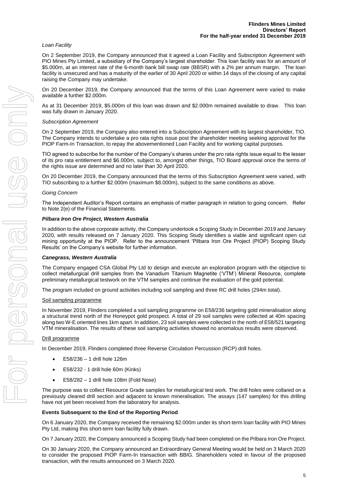#### *Loan Facility*

On 2 September 2019, the Company announced that it agreed a Loan Facility and Subscription Agreement with PIO Mines Pty Limited, a subsidiary of the Company's largest shareholder. This loan facility was for an amount of \$5.000m, at an interest rate of the 6-month bank bill swap rate (BBSR) with a 2% per annum margin. The loan facility is unsecured and has a maturity of the earlier of 30 April 2020 or within 14 days of the closing of any capital raising the Company may undertake.

On 20 December 2019, the Company announced that the terms of this Loan Agreement were varied to make available a further \$2.000m.

As at 31 December 2019, \$5.000m of this loan was drawn and \$2.000m remained available to draw. This loan was fully drawn in January 2020.

#### *Subscription Agreement*

On 2 September 2019, the Company also entered into a Subscription Agreement with its largest shareholder, TIO. The Company intends to undertake a pro rata rights issue post the shareholder meeting seeking approval for the PIOP Farm-In Transaction, to repay the abovementioned Loan Facility and for working capital purposes.

TIO agreed to subscribe for the number of the Company's shares under the pro rata rights issue equal to the lesser of its pro rata entitlement and \$6.000m, subject to, amongst other things, TIO Board approval once the terms of the rights issue are determined and no later than 30 April 2020.

On 20 December 2019, the Company announced that the terms of this Subscription Agreement were varied, with TIO subscribing to a further \$2.000m (maximum \$8.000m), subject to the same conditions as above.

#### *Going Concern*

The Independent Auditor's Report contains an emphasis of matter paragraph in relation to going concern. Refer to Note 2(e) of the Financial Statements.

#### *Pilbara Iron Ore Project, Western Australia*

In addition to the above corporate activity, the Company undertook a Scoping Study in December 2019 and January 2020, with results released on 7 January 2020. This Scoping Study identifies a viable and significant open cut mining opportunity at the PIOP. Refer to the announcement 'Pilbara Iron Ore Project (PIOP) Scoping Study Results' on the Company's website for further information.

#### *Canegrass, Western Australia*

The Company engaged CSA Global Pty Ltd to design and execute an exploration program with the objective to collect metallurgical drill samples from the Vanadium Titanium Magnetite ('VTM') Mineral Resource, complete preliminary metallurgical testwork on the VTM samples and continue the evaluation of the gold potential.

The program included on ground activities including soil sampling and three RC drill holes (294m total).

#### Soil sampling programme

In November 2019, Flinders completed a soil sampling programme on E58/236 targeting gold mineralisation along a structural trend north of the Honeypot gold prospect. A total of 29 soil samples were collected at 40m spacing along two W-E oriented lines 1km apart. In addition, 23 soil samples were collected in the north of E58/521 targeting VTM mineralisation. The results of these soil sampling activities showed no anomalous results were observed.

#### Drill programme

In December 2019, Flinders completed three Reverse Circulation Percussion (RCP) drill holes.

- E58/236 1 drill hole 126m
- E58/232 1 drill hole 60m (Kinks)
- E58/282 1 drill hole 108m (Fold Nose)

The purpose was to collect Resource Grade samples for metallurgical test work. The drill holes were collared on a previously cleared drill section and adjacent to known mineralisation. The assays (147 samples) for this drilling have not yet been received from the laboratory for analysis.

#### **Events Subsequent to the End of the Reporting Period**

On 6 January 2020, the Company received the remaining \$2.000m under its short-term loan facility with PIO Mines Pty Ltd, making this short-term loan facility fully drawn.

On 7 January 2020, the Company announced a Scoping Study had been completed on the Pilbara Iron Ore Project.

On 30 January 2020, the Company announced an Extraordinary General Meeting would be held on 3 March 2020 to consider the proposed PIOP Farm-In transaction with BBIG. Shareholders voted in favour of the proposed transaction, with the results announced on 3 March 2020.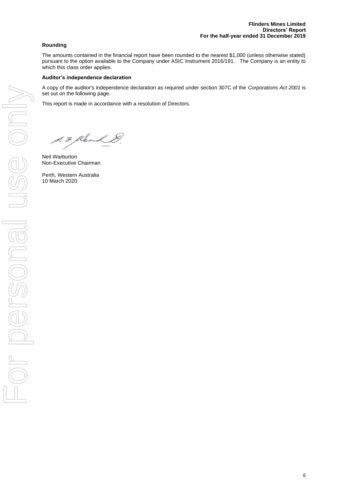# **Rounding**

The amounts contained in the financial report have been rounded to the nearest \$1,000 (unless otherwise stated) pursuant to the option available to the Company under ASIC Instrument 2016/191. The Company is an entity to which this class order applies.

## **Auditor's independence declaration**

A copy of the auditor's independence declaration as required under section 307C of the *Corporations Act 2001* is set out on the following page.

This report is made in accordance with a resolution of Directors.

S. F. Klenk &.

Neil Warburton Non-Executive Chairman

Perth, Western Australia 10 March 2020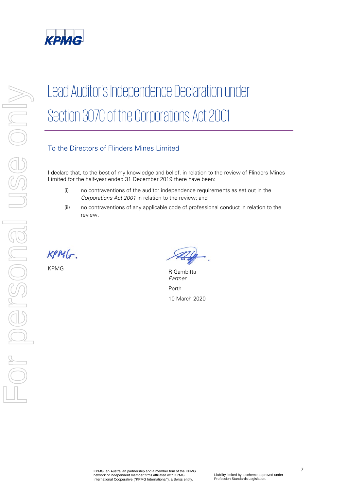

# Lead Auditor's Independence Declaration under Section 307C of the Corporations Act 2001

# To the Directors of Flinders Mines Limited

I declare that, to the best of my knowledge and belief, in relation to the review of Flinders Mines Limited for the half-year ended 31 December 2019 there have been:

- (i) no contraventions of the auditor independence requirements as set out in the Corporations Act 2001 in relation to the review; and
- (ii) no contraventions of any applicable code of professional conduct in relation to the review.

 $KPMG$ .

KPMG R Gambitta Partner Perth 10 March 2020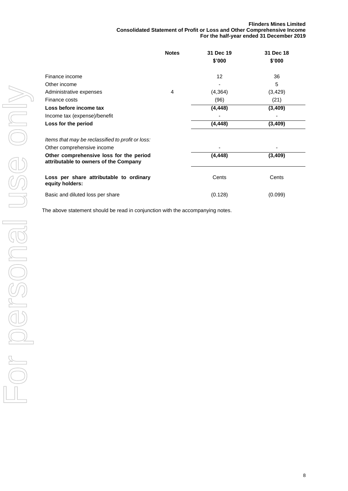#### **Flinders Mines Limited Consolidated Statement of Profit or Loss and Other Comprehensive Income For the half-year ended 31 December 2019**

|                                                                                  | <b>Notes</b> | 31 Dec 19         | 31 Dec 18 |
|----------------------------------------------------------------------------------|--------------|-------------------|-----------|
|                                                                                  |              | \$'000            | \$'000    |
| Finance income                                                                   |              | $12 \overline{ }$ | 36        |
| Other income                                                                     |              |                   | 5         |
| Administrative expenses                                                          | 4            | (4, 364)          | (3, 429)  |
| Finance costs                                                                    |              | (96)              | (21)      |
| Loss before income tax                                                           |              | (4, 448)          | (3, 409)  |
| Income tax (expense)/benefit                                                     |              |                   |           |
| Loss for the period                                                              |              | (4, 448)          | (3, 409)  |
| Items that may be reclassified to profit or loss:                                |              |                   |           |
| Other comprehensive income                                                       |              |                   |           |
| Other comprehensive loss for the period<br>attributable to owners of the Company |              | (4, 448)          | (3,409)   |
| Loss per share attributable to ordinary<br>equity holders:                       |              | Cents             | Cents     |
| Basic and diluted loss per share                                                 |              | (0.128)           | (0.099)   |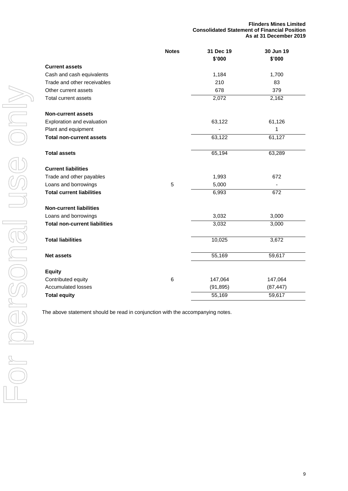**Flinders Mines Limited Consolidated Statement of Financial Position As at 31 December 2019**

|                                      | <b>Notes</b> | 31 Dec 19<br>\$'000 | 30 Jun 19<br>\$'000 |
|--------------------------------------|--------------|---------------------|---------------------|
| <b>Current assets</b>                |              |                     |                     |
| Cash and cash equivalents            |              | 1,184               | 1,700               |
| Trade and other receivables          |              | 210                 | 83                  |
| Other current assets                 |              | 678                 | 379                 |
| Total current assets                 |              | 2,072               | 2,162               |
| <b>Non-current assets</b>            |              |                     |                     |
| Exploration and evaluation           |              | 63,122              | 61,126              |
| Plant and equipment                  |              |                     | 1                   |
| <b>Total non-current assets</b>      |              | 63,122              | 61,127              |
| <b>Total assets</b>                  |              | 65,194              | 63,289              |
| <b>Current liabilities</b>           |              |                     |                     |
| Trade and other payables             |              | 1,993               | 672                 |
| Loans and borrowings                 | 5            | 5,000               |                     |
| <b>Total current liabilities</b>     |              | 6,993               | 672                 |
| <b>Non-current liabilities</b>       |              |                     |                     |
| Loans and borrowings                 |              | 3,032               | 3,000               |
| <b>Total non-current liabilities</b> |              | 3,032               | 3,000               |
| <b>Total liabilities</b>             |              | 10,025              | 3,672               |
| <b>Net assets</b>                    |              | 55,169              | 59,617              |
| <b>Equity</b>                        |              |                     |                     |
| Contributed equity                   | 6            | 147,064             | 147,064             |
| <b>Accumulated losses</b>            |              | (91, 895)           | (87, 447)           |
| <b>Total equity</b>                  |              | 55,169              | 59,617              |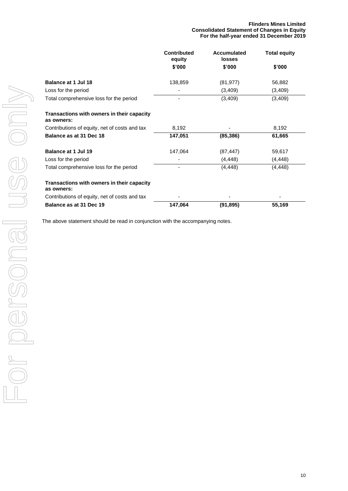|                                                          | <b>Contributed</b><br>equity | <b>Accumulated</b><br><b>losses</b> | <b>Total equity</b> |
|----------------------------------------------------------|------------------------------|-------------------------------------|---------------------|
|                                                          | \$'000                       | \$'000                              | \$'000              |
| <b>Balance at 1 Jul 18</b>                               | 138,859                      | (81, 977)                           | 56,882              |
| Loss for the period                                      |                              | (3,409)                             | (3,409)             |
| Total comprehensive loss for the period                  |                              | (3,409)                             | (3,409)             |
| Transactions with owners in their capacity<br>as owners: |                              |                                     |                     |
| Contributions of equity, net of costs and tax            | 8,192                        |                                     | 8,192               |
| Balance as at 31 Dec 18                                  | 147,051                      | (85, 386)                           | 61,665              |
| Balance at 1 Jul 19                                      | 147,064                      | (87, 447)                           | 59,617              |
| Loss for the period                                      |                              | (4, 448)                            | (4, 448)            |
| Total comprehensive loss for the period                  |                              | (4, 448)                            | (4, 448)            |
| Transactions with owners in their capacity<br>as owners: |                              |                                     |                     |
| Contributions of equity, net of costs and tax            |                              |                                     |                     |
| Balance as at 31 Dec 19                                  | 147,064                      | (91, 895)                           | 55,169              |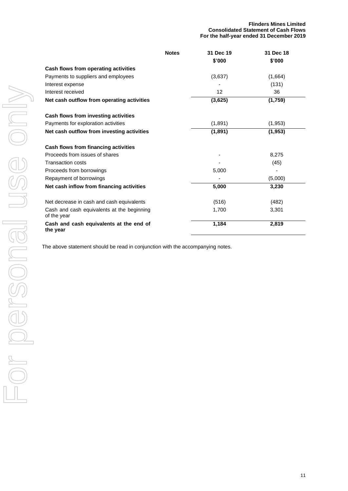|                                                           | <b>Notes</b> | 31 Dec 19 | 31 Dec 18 |
|-----------------------------------------------------------|--------------|-----------|-----------|
|                                                           |              | \$'000    | \$'000    |
| Cash flows from operating activities                      |              |           |           |
| Payments to suppliers and employees                       |              | (3,637)   | (1,664)   |
| Interest expense                                          |              |           | (131)     |
| Interest received                                         |              | 12        | 36        |
| Net cash outflow from operating activities                |              | (3,625)   | (1,759)   |
| Cash flows from investing activities                      |              |           |           |
| Payments for exploration activities                       |              | (1,891)   | (1, 953)  |
| Net cash outflow from investing activities                |              | (1,891)   | (1, 953)  |
| Cash flows from financing activities                      |              |           |           |
| Proceeds from issues of shares                            |              |           | 8,275     |
| <b>Transaction costs</b>                                  |              |           | (45)      |
| Proceeds from borrowings                                  |              | 5,000     |           |
| Repayment of borrowings                                   |              |           | (5,000)   |
| Net cash inflow from financing activities                 |              | 5,000     | 3,230     |
| Net decrease in cash and cash equivalents                 |              | (516)     | (482)     |
| Cash and cash equivalents at the beginning<br>of the year |              | 1,700     | 3,301     |
| Cash and cash equivalents at the end of<br>the year       |              | 1,184     | 2,819     |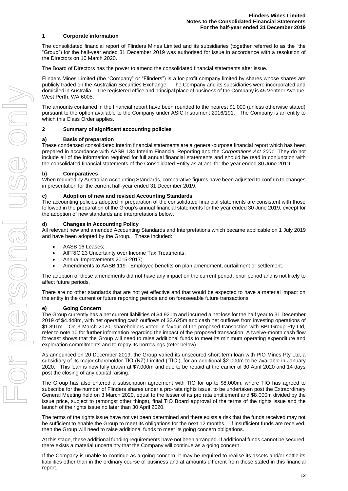#### **1 Corporate information**

The consolidated financial report of Flinders Mines Limited and its subsidiaries (together referred to as the "the "Group") for the half-year ended 31 December 2019 was authorised for issue in accordance with a resolution of the Directors on 10 March 2020.

The Board of Directors has the power to amend the consolidated financial statements after issue.

Flinders Mines Limited (the "Company" or "Flinders") is a for-profit company limited by shares whose shares are publicly traded on the Australian Securities Exchange. The Company and its subsidiaries were incorporated and domiciled in Australia. The registered office and principal place of business of the Company is 45 Ventnor Avenue, West Perth, WA 6005.

The amounts contained in the financial report have been rounded to the nearest \$1,000 (unless otherwise stated) pursuant to the option available to the Company under ASIC Instrument 2016/191. The Company is an entity to which this Class Order applies.

#### **2 Summary of significant accounting policies**

#### **a) Basis of preparation**

These condensed consolidated interim financial statements are a general-purpose financial report which has been prepared in accordance with AASB 134 Interim Financial Reporting and the *Corporations Act 2001*. They do not include all of the information required for full annual financial statements and should be read in conjunction with the consolidated financial statements of the Consolidated Entity as at and for the year ended 30 June 2019.

#### **b) Comparatives**

When required by Australian Accounting Standards, comparative figures have been adjusted to confirm to changes in presentation for the current half-year ended 31 December 2019.

#### **c) Adoption of new and revised Accounting Standards**

The accounting policies adopted in preparation of the consolidated financial statements are consistent with those followed in the preparation of the Group's annual financial statements for the year ended 30 June 2019, except for the adoption of new standards and interpretations below.

#### **d) Changes in Accounting Policy**

All relevant new and amended Accounting Standards and Interpretations which became applicable on 1 July 2019 and have been adopted by the Group. These included:

- AASB 16 Leases;
- AIFRIC 23 Uncertainty over Income Tax Treatments;
- Annual Improvements 2015-2017;
- Amendments to AASB 119 Employee benefits on plan amendment, curtailment or settlement.

The adoption of these amendments did not have any impact on the current period, prior period and is not likely to affect future periods.

There are no other standards that are not yet effective and that would be expected to have a material impact on the entity in the current or future reporting periods and on foreseeable future transactions.

#### **e) Going Concern**

The Group currently has a net current liabilities of \$4.921m and incurred a net loss for the half year to 31 December 2019 of \$4.448m, with net operating cash outflows of \$3.625m and cash net outflows from investing operations of \$1.891m. On 3 March 2020, shareholders voted in favour of the proposed transaction with BBI Group Pty Ltd, refer to note 10 for further information regarding the impact of the proposed transaction. A twelve-month cash flow forecast shows that the Group will need to raise additional funds to meet its minimum operating expenditure and exploration commitments and to repay its borrowings (refer below).

As announced on 20 December 2019, the Group varied its unsecured short-term loan with PIO Mines Pty Ltd, a subsidiary of its major shareholder TIO (NZ) Limited ('TIO'), for an additional \$2.000m to be available in January 2020. This loan is now fully drawn at \$7.000m and due to be repaid at the earlier of 30 April 2020 and 14 days post the closing of any capital raising.

The Group has also entered a subscription agreement with TIO for up to \$8.000m, where TIO has agreed to subscribe for the number of Flinders shares under a pro-rata rights issue, to be undertaken post the Extraordinary General Meeting held on 3 March 2020, equal to the lesser of its pro rata entitlement and \$8.000m divided by the issue price, subject to (amongst other things), final TIO Board approval of the terms of the rights issue and the launch of the rights issue no later than 30 April 2020.

The terms of the rights issue have not yet been determined and there exists a risk that the funds received may not be sufficient to enable the Group to meet its obligations for the next 12 months. If insufficient funds are received, then the Group will need to raise additional funds to meet its going concern obligations.

At this stage, these additional funding requirements have not been arranged. If additional funds cannot be secured, there exists a material uncertainty that the Company will continue as a going concern.

If the Company is unable to continue as a going concern, it may be required to realise its assets and/or settle its liabilities other than in the ordinary course of business and at amounts different from those stated in this financial report.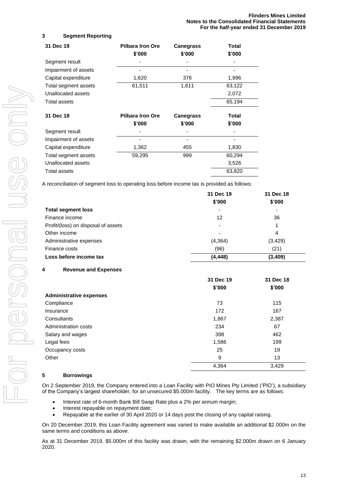# **3 Segment Reporting**

| 31 Dec 19            | <b>Pilbara Iron Ore</b><br>\$'000 | <b>Canegrass</b><br>\$'000 | Total<br>\$'000 |
|----------------------|-----------------------------------|----------------------------|-----------------|
| Segment result       |                                   |                            |                 |
| Impairment of assets |                                   |                            |                 |
| Capital expenditure  | 1,620                             | 376                        | 1,996           |
| Total segment assets | 61,511                            | 1,611                      | 63,122          |
| Unallocated assets   |                                   |                            | 2,072           |
| Total assets         |                                   |                            | 65,194          |
| 31 Dec 18            | <b>Pilbara Iron Ore</b>           | <b>Canegrass</b>           | Total           |
|                      | \$'000                            | \$'000                     | \$'000          |
| Segment result       |                                   |                            |                 |
| Impairment of assets |                                   |                            |                 |
| Capital expenditure  | 1,362                             | 455                        | 1,830           |
| Total segment assets | 59,295                            | 999                        | 60,294          |
| Unallocated assets   |                                   |                            | 3,526           |
| <b>Total assets</b>  |                                   |                            | 63,820          |

A reconciliation of segment loss to operating loss before income tax is provided as follows:

|                                     | 31 Dec 19 | 31 Dec 18 |
|-------------------------------------|-----------|-----------|
|                                     | \$'000    | \$'000    |
| <b>Total segment loss</b>           | -         | ٠         |
| Finance income                      | 12        | 36        |
| Profit/(loss) on disposal of assets | ٠         |           |
| Other income                        | -         | 4         |
| Administrative expenses             | (4, 364)  | (3, 429)  |
| Finance costs                       | (96)      | (21)      |
| Loss before income tax              | (4, 448)  | (3, 409)  |

# **4 Revenue and Expenses**

|                                | 31 Dec 19 | 31 Dec 18 |
|--------------------------------|-----------|-----------|
|                                | \$'000    | \$'000    |
| <b>Administrative expenses</b> |           |           |
| Compliance                     | 73        | 115       |
| Insurance                      | 172       | 167       |
| Consultants                    | 1,867     | 2,387     |
| Administration costs           | 234       | 67        |
| Salary and wages               | 398       | 462       |
| Legal fees                     | 1,586     | 199       |
| Occupancy costs                | 25        | 19        |
| Other                          | 9         | 13        |
|                                | 4,364     | 3,429     |

## **5 Borrowings**

On 2 September 2019, the Company entered into a Loan Facility with PIO Mines Pty Limited ('PIO'), a subsidiary of the Company's largest shareholder, for an unsecured \$5.000m facility. The key terms are as follows:

- Interest rate of 6-month Bank Bill Swap Rate plus a 2% per annum margin;
- Interest repayable on repayment date;
- Repayable at the earlier of 30 April 2020 or 14 days post the closing of any capital raising.

On 20 December 2019, this Loan Facility agreement was varied to make available an additional \$2.000m on the same terms and conditions as above.

As at 31 December 2019, \$5.000m of this facility was drawn, with the remaining \$2.000m drawn on 6 January 2020.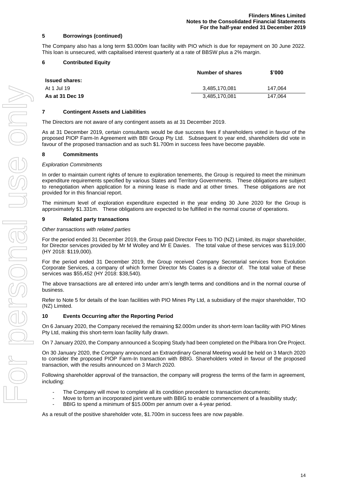#### **5 Borrowings (continued)**

The Company also has a long term \$3.000m loan facility with PIO which is due for repayment on 30 June 2022. This loan is unsecured, with capitalised interest quarterly at a rate of BBSW plus a 2% margin.

#### **6 Contributed Equity**

|                       | Number of shares | \$'000  |
|-----------------------|------------------|---------|
| <b>Issued shares:</b> |                  |         |
| At 1 Jul 19           | 3,485,170,081    | 147.064 |
| As at 31 Dec 19       | 3,485,170,081    | 147.064 |

#### **7 Contingent Assets and Liabilities**

The Directors are not aware of any contingent assets as at 31 December 2019.

As at 31 December 2019, certain consultants would be due success fees if shareholders voted in favour of the proposed PIOP Farm-In Agreement with BBI Group Pty Ltd. Subsequent to year end, shareholders did vote in favour of the proposed transaction and as such \$1.700m in success fees have become payable.

#### **8 Commitments**

#### *Exploration Commitments*

In order to maintain current rights of tenure to exploration tenements, the Group is required to meet the minimum expenditure requirements specified by various States and Territory Governments. These obligations are subject to renegotiation when application for a mining lease is made and at other times. These obligations are not provided for in this financial report.

The minimum level of exploration expenditure expected in the year ending 30 June 2020 for the Group is approximately \$1.331m. These obligations are expected to be fulfilled in the normal course of operations.

#### **9 Related party transactions**

#### *Other transactions with related parties*

For the period ended 31 December 2019, the Group paid Director Fees to TIO (NZ) Limited, its major shareholder, for Director services provided by Mr M Wolley and Mr E Davies. The total value of these services was \$119,000 (HY 2018: \$119,000).

For the period ended 31 December 2019, the Group received Company Secretarial services from Evolution Corporate Services, a company of which former Director Ms Coates is a director of. The total value of these services was \$55,452 (HY 2018: \$38,540).

The above transactions are all entered into under arm's length terms and conditions and in the normal course of business.

Refer to Note 5 for details of the loan facilities with PIO Mines Pty Ltd, a subsidiary of the major shareholder, TIO (NZ) Limited.

#### **10 Events Occurring after the Reporting Period**

On 6 January 2020, the Company received the remaining \$2.000m under its short-term loan facility with PIO Mines Pty Ltd, making this short-term loan facility fully drawn.

On 7 January 2020, the Company announced a Scoping Study had been completed on the Pilbara Iron Ore Project.

On 30 January 2020, the Company announced an Extraordinary General Meeting would be held on 3 March 2020 to consider the proposed PIOP Farm-In transaction with BBIG. Shareholders voted in favour of the proposed transaction, with the results announced on 3 March 2020.

Following shareholder approval of the transaction, the company will progress the terms of the farm in agreement, including:

- The Company will move to complete all its condition precedent to transaction documents;
- Move to form an incorporated joint venture with BBIG to enable commencement of a feasibility study;
- BBIG to spend a minimum of \$15.000m per annum over a 4-year period.

As a result of the positive shareholder vote, \$1.700m in success fees are now payable.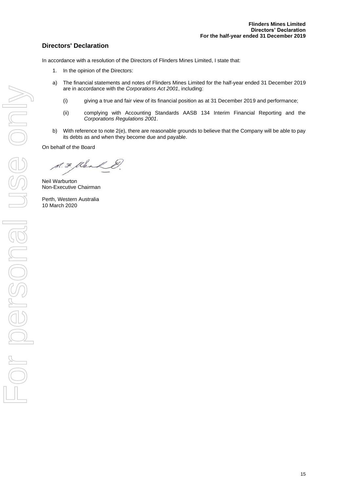# **Directors' Declaration**

In accordance with a resolution of the Directors of Flinders Mines Limited, I state that:

- 1. In the opinion of the Directors:
- a) The financial statements and notes of Flinders Mines Limited for the half-year ended 31 December 2019 are in accordance with the *Corporations Act 2001*, including:
	- (i) giving a true and fair view of its financial position as at 31 December 2019 and performance;
	- (ii) complying with Accounting Standards AASB 134 Interim Financial Reporting and the *Corporations Regulations 2001*.
- b) With reference to note 2(e), there are reasonable grounds to believe that the Company will be able to pay its debts as and when they become due and payable.

On behalf of the Board

S.F. Kler

Neil Warburton Non-Executive Chairman

Perth, Western Australia 10 March 2020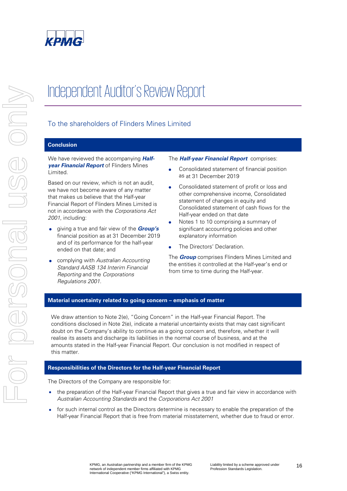

# Independent Auditor's Review Report

# To the shareholders of Flinders Mines Limited

# **Conclusion**

We have reviewed the accompanying **Halfyear Financial Report** of Flinders Mines Limited.

Based on our review, which is not an audit, we have not become aware of any matter that makes us believe that the Half-year Financial Report of Flinders Mines Limited is not in accordance with the Corporations Act 2001, including:

- giving a true and fair view of the **Group's** financial position as at 31 December 2019 and of its performance for the half-year ended on that date; and
- complying with Australian Accounting Standard AASB 134 Interim Financial Reporting and the Corporations Regulations 2001.

#### The **Half-year Financial Report** comprises:

- Consolidated statement of financial position as at 31 December 2019
- Consolidated statement of profit or loss and other comprehensive income, Consolidated statement of changes in equity and Consolidated statement of cash flows for the Half-year ended on that date
- Notes 1 to 10 comprising a summary of significant accounting policies and other explanatory information
- The Directors' Declaration.

The **Group** comprises Flinders Mines Limited and the entities it controlled at the Half-year's end or from time to time during the Half-year.

#### **Material uncertainty related to going concern – emphasis of matter**

We draw attention to Note 2(e), "Going Concern" in the Half-year Financial Report. The conditions disclosed in Note 2(e), indicate a material uncertainty exists that may cast significant doubt on the Company's ability to continue as a going concern and, therefore, whether it will realise its assets and discharge its liabilities in the normal course of business, and at the amounts stated in the Half-year Financial Report. Our conclusion is not modified in respect of this matter.

## **Responsibilities of the Directors for the Half-year Financial Report**

The Directors of the Company are responsible for:

- the preparation of the Half-year Financial Report that gives a true and fair view in accordance with Australian Accounting Standards and the Corporations Act 2001
- for such internal control as the Directors determine is necessary to enable the preparation of the Half-year Financial Report that is free from material misstatement, whether due to fraud or error.